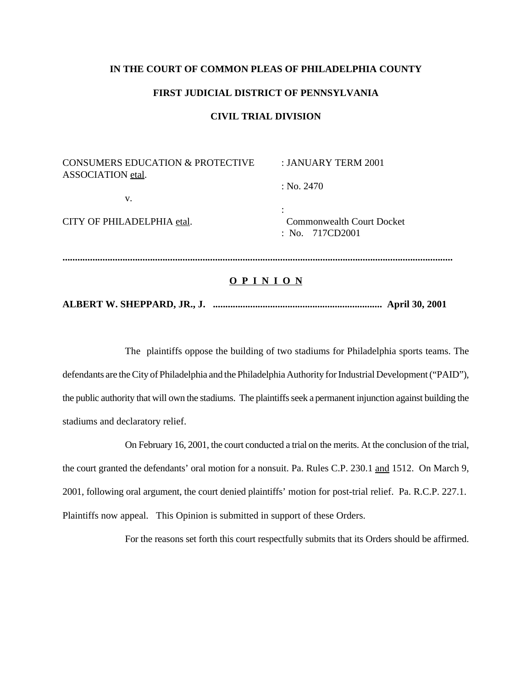#### **IN THE COURT OF COMMON PLEAS OF PHILADELPHIA COUNTY**

#### **FIRST JUDICIAL DISTRICT OF PENNSYLVANIA**

#### **CIVIL TRIAL DIVISION**

| CONSUMERS EDUCATION & PROTECTIVE<br>ASSOCIATION etal. | : JANUARY TERM 2001                                   |
|-------------------------------------------------------|-------------------------------------------------------|
| V.                                                    | : No. 2470                                            |
|                                                       |                                                       |
| CITY OF PHILADELPHIA etal.                            | <b>Commonwealth Court Docket</b><br>: No. $717CD2001$ |
|                                                       |                                                       |

#### **O P I N I O N**

### **ALBERT W. SHEPPARD, JR., J. .................................................................... April 30, 2001**

The plaintiffs oppose the building of two stadiums for Philadelphia sports teams. The defendants are the City of Philadelphia and the Philadelphia Authority for Industrial Development ("PAID"), the public authority that will own the stadiums. The plaintiffs seek a permanent injunction against building the stadiums and declaratory relief.

On February 16, 2001, the court conducted a trial on the merits. At the conclusion of the trial, the court granted the defendants' oral motion for a nonsuit. Pa. Rules C.P. 230.1 and 1512. On March 9, 2001, following oral argument, the court denied plaintiffs' motion for post-trial relief. Pa. R.C.P. 227.1. Plaintiffs now appeal. This Opinion is submitted in support of these Orders.

For the reasons set forth this court respectfully submits that its Orders should be affirmed.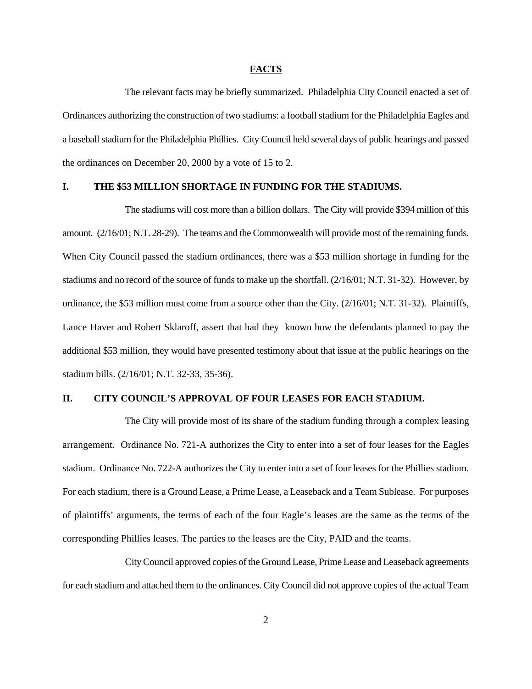#### **FACTS**

The relevant facts may be briefly summarized. Philadelphia City Council enacted a set of Ordinances authorizing the construction of two stadiums: a football stadium for the Philadelphia Eagles and a baseball stadium for the Philadelphia Phillies. City Council held several days of public hearings and passed the ordinances on December 20, 2000 by a vote of 15 to 2.

#### **I. THE \$53 MILLION SHORTAGE IN FUNDING FOR THE STADIUMS.**

The stadiums will cost more than a billion dollars. The City will provide \$394 million of this amount. (2/16/01; N.T. 28-29). The teams and the Commonwealth will provide most of the remaining funds. When City Council passed the stadium ordinances, there was a \$53 million shortage in funding for the stadiums and no record of the source of funds to make up the shortfall. (2/16/01; N.T. 31-32). However, by ordinance, the \$53 million must come from a source other than the City. (2/16/01; N.T. 31-32). Plaintiffs, Lance Haver and Robert Sklaroff, assert that had they known how the defendants planned to pay the additional \$53 million, they would have presented testimony about that issue at the public hearings on the stadium bills. (2/16/01; N.T. 32-33, 35-36).

#### **II. CITY COUNCIL'S APPROVAL OF FOUR LEASES FOR EACH STADIUM.**

The City will provide most of its share of the stadium funding through a complex leasing arrangement. Ordinance No. 721-A authorizes the City to enter into a set of four leases for the Eagles stadium. Ordinance No. 722-A authorizes the City to enter into a set of four leases for the Phillies stadium. For each stadium, there is a Ground Lease, a Prime Lease, a Leaseback and a Team Sublease. For purposes of plaintiffs' arguments, the terms of each of the four Eagle's leases are the same as the terms of the corresponding Phillies leases. The parties to the leases are the City, PAID and the teams.

City Council approved copies of the Ground Lease, Prime Lease and Leaseback agreements for each stadium and attached them to the ordinances. City Council did not approve copies of the actual Team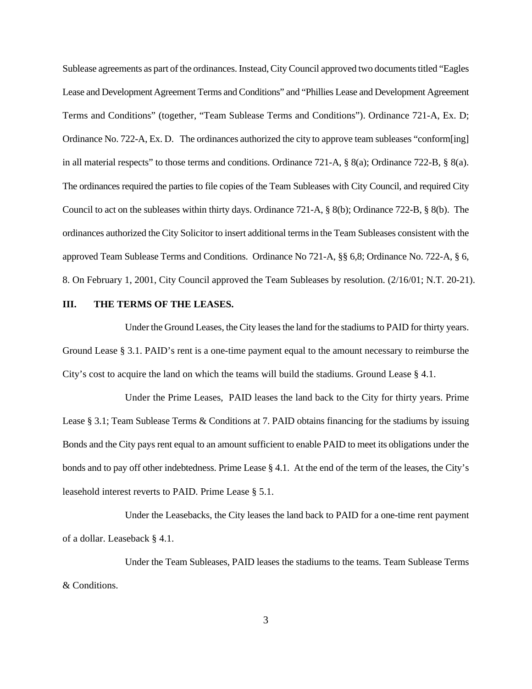Sublease agreements as part of the ordinances. Instead, City Council approved two documents titled "Eagles" Lease and Development Agreement Terms and Conditions" and "Phillies Lease and Development Agreement Terms and Conditions" (together, "Team Sublease Terms and Conditions"). Ordinance 721-A, Ex. D; Ordinance No. 722-A, Ex. D. The ordinances authorized the city to approve team subleases "conform[ing] in all material respects" to those terms and conditions. Ordinance 721-A, § 8(a); Ordinance 722-B, § 8(a). The ordinances required the parties to file copies of the Team Subleases with City Council, and required City Council to act on the subleases within thirty days. Ordinance 721-A, § 8(b); Ordinance 722-B, § 8(b). The ordinances authorized the City Solicitor to insert additional terms in the Team Subleases consistent with the approved Team Sublease Terms and Conditions. Ordinance No 721-A, §§ 6,8; Ordinance No. 722-A, § 6, 8. On February 1, 2001, City Council approved the Team Subleases by resolution. (2/16/01; N.T. 20-21).

#### **III. THE TERMS OF THE LEASES.**

Under the Ground Leases, the City leases the land for the stadiums to PAID for thirty years. Ground Lease § 3.1. PAID's rent is a one-time payment equal to the amount necessary to reimburse the City's cost to acquire the land on which the teams will build the stadiums. Ground Lease § 4.1.

Under the Prime Leases, PAID leases the land back to the City for thirty years. Prime Lease § 3.1; Team Sublease Terms & Conditions at 7. PAID obtains financing for the stadiums by issuing Bonds and the City pays rent equal to an amount sufficient to enable PAID to meet its obligations under the bonds and to pay off other indebtedness. Prime Lease § 4.1. At the end of the term of the leases, the City's leasehold interest reverts to PAID. Prime Lease § 5.1.

Under the Leasebacks, the City leases the land back to PAID for a one-time rent payment of a dollar. Leaseback § 4.1.

Under the Team Subleases, PAID leases the stadiums to the teams. Team Sublease Terms & Conditions.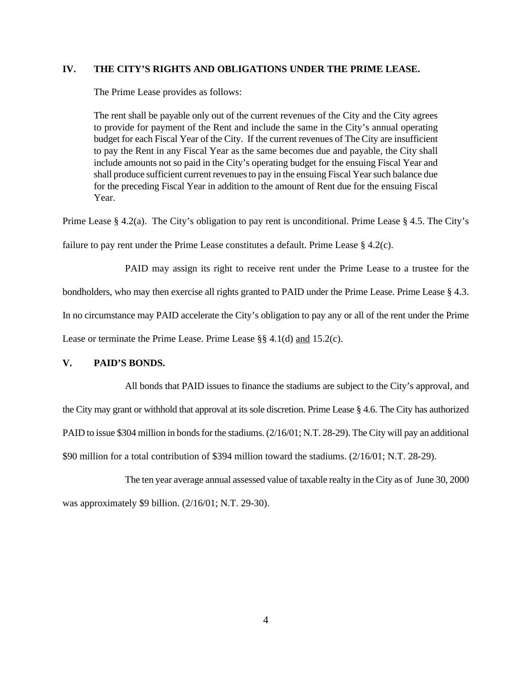#### **IV. THE CITY'S RIGHTS AND OBLIGATIONS UNDER THE PRIME LEASE.**

The Prime Lease provides as follows:

The rent shall be payable only out of the current revenues of the City and the City agrees to provide for payment of the Rent and include the same in the City's annual operating budget for each Fiscal Year of the City. If the current revenues of The City are insufficient to pay the Rent in any Fiscal Year as the same becomes due and payable, the City shall include amounts not so paid in the City's operating budget for the ensuing Fiscal Year and shall produce sufficient current revenues to pay in the ensuing Fiscal Year such balance due for the preceding Fiscal Year in addition to the amount of Rent due for the ensuing Fiscal Year.

Prime Lease § 4.2(a). The City's obligation to pay rent is unconditional. Prime Lease § 4.5. The City's failure to pay rent under the Prime Lease constitutes a default. Prime Lease § 4.2(c).

PAID may assign its right to receive rent under the Prime Lease to a trustee for the bondholders, who may then exercise all rights granted to PAID under the Prime Lease. Prime Lease § 4.3. In no circumstance may PAID accelerate the City's obligation to pay any or all of the rent under the Prime Lease or terminate the Prime Lease. Prime Lease §§ 4.1(d) and 15.2(c).

#### **V. PAID'S BONDS.**

All bonds that PAID issues to finance the stadiums are subject to the City's approval, and the City may grant or withhold that approval at its sole discretion. Prime Lease § 4.6. The City has authorized PAID to issue \$304 million in bonds for the stadiums. (2/16/01; N.T. 28-29). The City will pay an additional \$90 million for a total contribution of \$394 million toward the stadiums. (2/16/01; N.T. 28-29).

The ten year average annual assessed value of taxable realty in the City as of June 30, 2000 was approximately \$9 billion. (2/16/01; N.T. 29-30).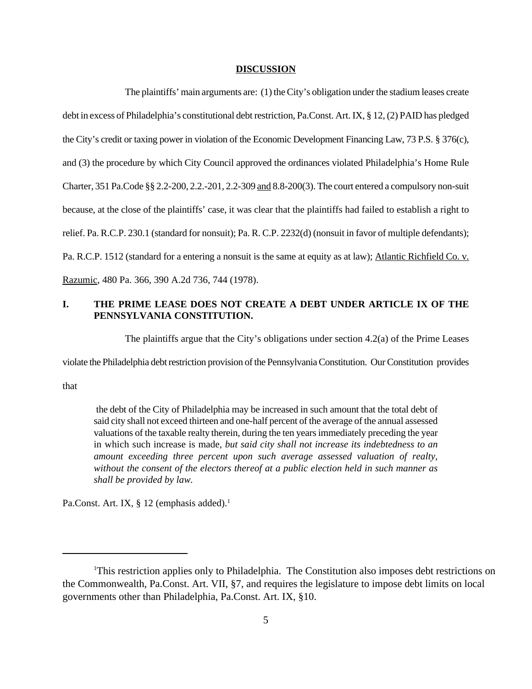#### **DISCUSSION**

The plaintiffs' main arguments are: (1) theCity's obligation under the stadium leases create debt in excess of Philadelphia's constitutional debt restriction, Pa.Const. Art. IX, § 12, (2) PAID has pledged the City's credit or taxing power in violation of the Economic Development Financing Law, 73 P.S. § 376(c), and (3) the procedure by which City Council approved the ordinances violated Philadelphia's Home Rule Charter, 351 Pa.Code §§ 2.2-200, 2.2.-201, 2.2-309 and 8.8-200(3). The court entered a compulsory non-suit because, at the close of the plaintiffs' case, it was clear that the plaintiffs had failed to establish a right to relief. Pa. R.C.P. 230.1 (standard for nonsuit); Pa. R. C.P. 2232(d) (nonsuit in favor of multiple defendants); Pa. R.C.P. 1512 (standard for a entering a nonsuit is the same at equity as at law); Atlantic Richfield Co. v. Razumic, 480 Pa. 366, 390 A.2d 736, 744 (1978).

# **I. THE PRIME LEASE DOES NOT CREATE A DEBT UNDER ARTICLE IX OF THE PENNSYLVANIA CONSTITUTION.**

The plaintiffs argue that the City's obligations under section 4.2(a) of the Prime Leases

violate the Philadelphia debt restriction provision of the Pennsylvania Constitution. Our Constitution provides

that

 the debt of the City of Philadelphia may be increased in such amount that the total debt of said city shall not exceed thirteen and one-half percent of the average of the annual assessed valuations of the taxable realty therein, during the ten years immediately preceding the year in which such increase is made, *but said city shall not increase its indebtedness to an amount exceeding three percent upon such average assessed valuation of realty, without the consent of the electors thereof at a public election held in such manner as shall be provided by law.*

Pa.Const. Art. IX, § 12 (emphasis added).<sup>1</sup>

This restriction applies only to Philadelphia. The Constitution also imposes debt restrictions on <sup>1</sup> the Commonwealth, Pa.Const. Art. VII, §7, and requires the legislature to impose debt limits on local governments other than Philadelphia, Pa.Const. Art. IX, §10.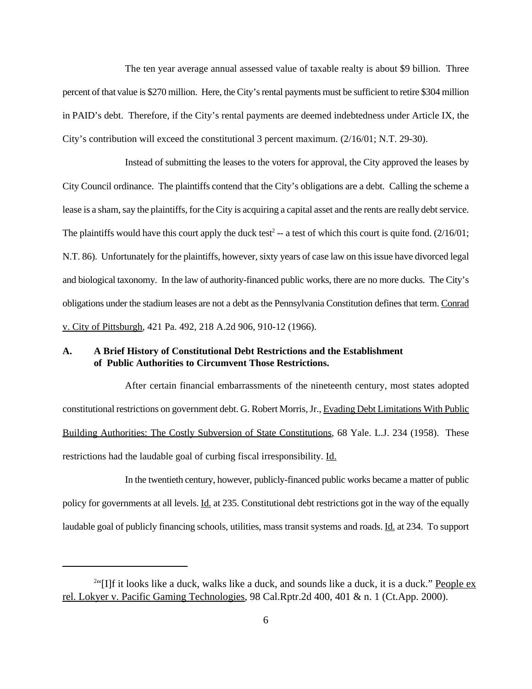The ten year average annual assessed value of taxable realty is about \$9 billion. Three percent of that value is \$270 million. Here, the City's rental payments must be sufficient to retire \$304 million in PAID's debt. Therefore, if the City's rental payments are deemed indebtedness under Article IX, the City's contribution will exceed the constitutional 3 percent maximum. (2/16/01; N.T. 29-30).

Instead of submitting the leases to the voters for approval, the City approved the leases by City Council ordinance. The plaintiffs contend that the City's obligations are a debt. Calling the scheme a lease is a sham, say the plaintiffs, for the City is acquiring a capital asset and the rents are really debt service. The plaintiffs would have this court apply the duck test<sup>2</sup> -- a test of which this court is quite fond.  $(2/16/01;$ N.T. 86). Unfortunately for the plaintiffs, however, sixty years of case law on this issue have divorced legal and biological taxonomy. In the law of authority-financed public works, there are no more ducks. The City's obligations under the stadium leases are not a debt as the Pennsylvania Constitution defines that term. Conrad v. City of Pittsburgh, 421 Pa. 492, 218 A.2d 906, 910-12 (1966).

### **A. A Brief History of Constitutional Debt Restrictions and the Establishment of Public Authorities to Circumvent Those Restrictions.**

After certain financial embarrassments of the nineteenth century, most states adopted constitutional restrictions on government debt. G. Robert Morris, Jr., Evading Debt Limitations With Public Building Authorities: The Costly Subversion of State Constitutions, 68 Yale. L.J. 234 (1958). These restrictions had the laudable goal of curbing fiscal irresponsibility. Id.

In the twentieth century, however, publicly-financed public works became a matter of public policy for governments at all levels. Id. at 235. Constitutional debt restrictions got in the way of the equally laudable goal of publicly financing schools, utilities, mass transit systems and roads. Id. at 234. To support

<sup>&</sup>lt;sup>2"</sup>[I]f it looks like a duck, walks like a duck, and sounds like a duck, it is a duck." **People ex** rel. Lokyer v. Pacific Gaming Technologies, 98 Cal.Rptr.2d 400, 401 & n. 1 (Ct.App. 2000).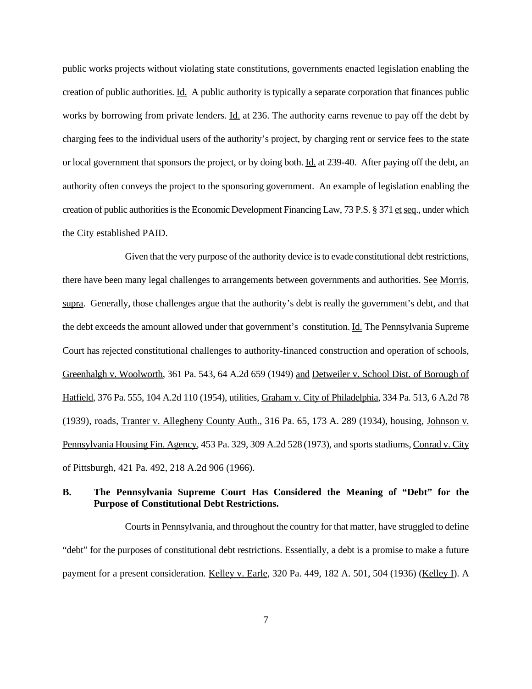public works projects without violating state constitutions, governments enacted legislation enabling the creation of public authorities. Id. A public authority is typically a separate corporation that finances public works by borrowing from private lenders. Id. at 236. The authority earns revenue to pay off the debt by charging fees to the individual users of the authority's project, by charging rent or service fees to the state or local government that sponsors the project, or by doing both. Id. at 239-40. After paying off the debt, an authority often conveys the project to the sponsoring government. An example of legislation enabling the creation of public authorities is the Economic Development Financing Law, 73 P.S. § 371 et seq., under which the City established PAID.

Given that the very purpose of the authority device is to evade constitutional debt restrictions, there have been many legal challenges to arrangements between governments and authorities. See Morris, supra. Generally, those challenges argue that the authority's debt is really the government's debt, and that the debt exceeds the amount allowed under that government's constitution. Id. The Pennsylvania Supreme Court has rejected constitutional challenges to authority-financed construction and operation of schools, Greenhalgh v. Woolworth, 361 Pa. 543, 64 A.2d 659 (1949) and Detweiler v. School Dist. of Borough of Hatfield, 376 Pa. 555, 104 A.2d 110 (1954), utilities, Graham v. City of Philadelphia, 334 Pa. 513, 6 A.2d 78 (1939), roads, Tranter v. Allegheny County Auth., 316 Pa. 65, 173 A. 289 (1934), housing, Johnson v. Pennsylvania Housing Fin. Agency, 453 Pa. 329, 309 A.2d 528 (1973), and sports stadiums, Conrad v. City of Pittsburgh, 421 Pa. 492, 218 A.2d 906 (1966).

# **B. The Pennsylvania Supreme Court Has Considered the Meaning of "Debt" for the Purpose of Constitutional Debt Restrictions.**

Courts in Pennsylvania, and throughout the country for that matter, have struggled to define "debt" for the purposes of constitutional debt restrictions. Essentially, a debt is a promise to make a future payment for a present consideration. Kelley v. Earle, 320 Pa. 449, 182 A. 501, 504 (1936) (Kelley I). A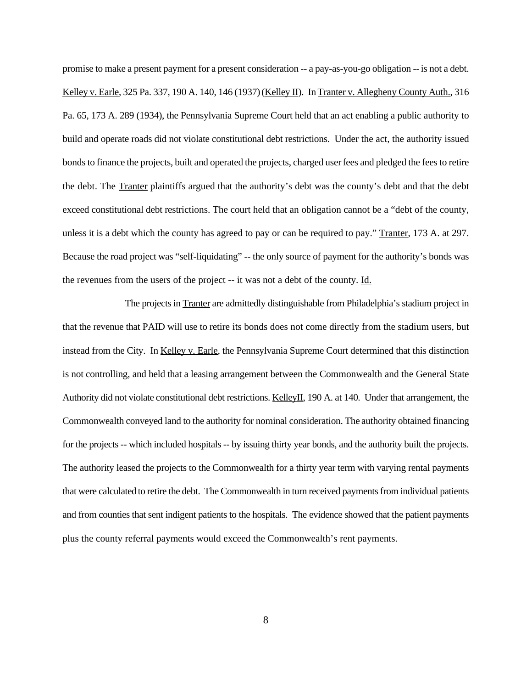promise to make a present payment for a present consideration -- a pay-as-you-go obligation -- is not a debt. Kelley v. Earle, 325 Pa. 337, 190 A. 140, 146 (1937) (Kelley II). In Tranter v. Allegheny County Auth., 316 Pa. 65, 173 A. 289 (1934), the Pennsylvania Supreme Court held that an act enabling a public authority to build and operate roads did not violate constitutional debt restrictions. Under the act, the authority issued bonds to finance the projects, built and operated the projects, charged user fees and pledged the fees to retire the debt. The Tranter plaintiffs argued that the authority's debt was the county's debt and that the debt exceed constitutional debt restrictions. The court held that an obligation cannot be a "debt of the county, unless it is a debt which the county has agreed to pay or can be required to pay." Tranter, 173 A. at 297. Because the road project was "self-liquidating" -- the only source of payment for the authority's bonds was the revenues from the users of the project -- it was not a debt of the county. Id.

The projects in Tranter are admittedly distinguishable from Philadelphia's stadium project in that the revenue that PAID will use to retire its bonds does not come directly from the stadium users, but instead from the City. In Kelley v. Earle, the Pennsylvania Supreme Court determined that this distinction is not controlling, and held that a leasing arrangement between the Commonwealth and the General State Authority did not violate constitutional debt restrictions. KelleyII, 190 A. at 140. Under that arrangement, the Commonwealth conveyed land to the authority for nominal consideration. The authority obtained financing for the projects -- which included hospitals -- by issuing thirty year bonds, and the authority built the projects. The authority leased the projects to the Commonwealth for a thirty year term with varying rental payments that were calculated to retire the debt. The Commonwealth in turn received payments from individual patients and from counties that sent indigent patients to the hospitals. The evidence showed that the patient payments plus the county referral payments would exceed the Commonwealth's rent payments.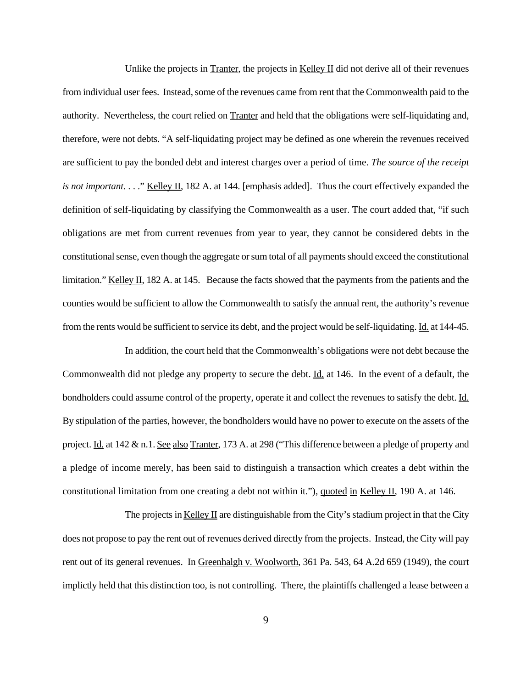Unlike the projects in  $\overline{\text{Tranter}}$ , the projects in  $\overline{\text{Keller}}$  II did not derive all of their revenues from individual user fees. Instead, some of the revenues came from rent that the Commonwealth paid to the authority. Nevertheless, the court relied on Tranter and held that the obligations were self-liquidating and, therefore, were not debts. "A self-liquidating project may be defined as one wherein the revenues received are sufficient to pay the bonded debt and interest charges over a period of time. *The source of the receipt is not important.* . . ." <u>Kelley II</u>, 182 A. at 144. [emphasis added]. Thus the court effectively expanded the definition of self-liquidating by classifying the Commonwealth as a user. The court added that, "if such obligations are met from current revenues from year to year, they cannot be considered debts in the constitutional sense, even though the aggregate or sum total of all payments should exceed the constitutional limitation." Kelley II, 182 A. at 145. Because the facts showed that the payments from the patients and the counties would be sufficient to allow the Commonwealth to satisfy the annual rent, the authority's revenue from the rents would be sufficient to service its debt, and the project would be self-liquidating. Id. at 144-45.

In addition, the court held that the Commonwealth's obligations were not debt because the Commonwealth did not pledge any property to secure the debt. Id. at 146. In the event of a default, the bondholders could assume control of the property, operate it and collect the revenues to satisfy the debt. Id. By stipulation of the parties, however, the bondholders would have no power to execute on the assets of the project. Id. at 142 & n.1. See also Tranter, 173 A. at 298 ("This difference between a pledge of property and a pledge of income merely, has been said to distinguish a transaction which creates a debt within the constitutional limitation from one creating a debt not within it."), quoted in Kelley II, 190 A. at 146.

The projects in  $Kelley II$  are distinguishable from the City's stadium project in that the City does not propose to pay the rent out of revenues derived directly from the projects. Instead, the City will pay rent out of its general revenues. In Greenhalgh v. Woolworth, 361 Pa. 543, 64 A.2d 659 (1949), the court implictly held that this distinction too, is not controlling. There, the plaintiffs challenged a lease between a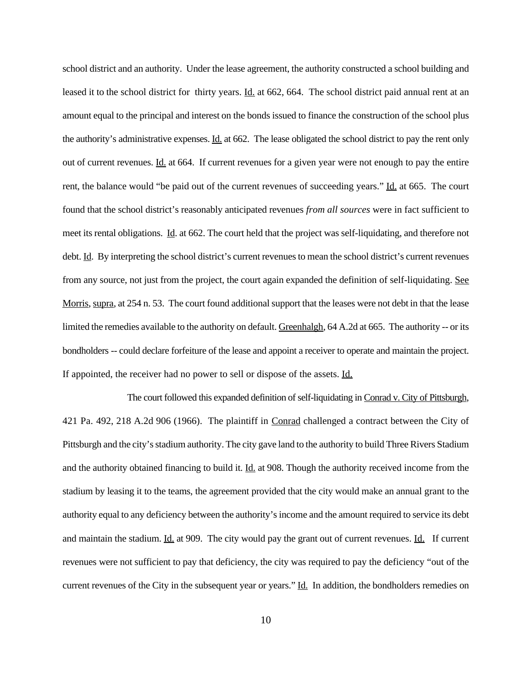school district and an authority. Under the lease agreement, the authority constructed a school building and leased it to the school district for thirty years. Id. at 662, 664. The school district paid annual rent at an amount equal to the principal and interest on the bonds issued to finance the construction of the school plus the authority's administrative expenses. Id. at 662. The lease obligated the school district to pay the rent only out of current revenues. Id. at 664. If current revenues for a given year were not enough to pay the entire rent, the balance would "be paid out of the current revenues of succeeding years."  $\underline{Id}$  at 665. The court found that the school district's reasonably anticipated revenues *from all sources* were in fact sufficient to meet its rental obligations. <u>Id</u>. at 662. The court held that the project was self-liquidating, and therefore not debt. Id. By interpreting the school district's current revenues to mean the school district's current revenues from any source, not just from the project, the court again expanded the definition of self-liquidating. See Morris, supra, at 254 n. 53. The court found additional support that the leases were not debt in that the lease limited the remedies available to the authority on default. Greenhalgh, 64 A.2d at 665. The authority -- or its bondholders -- could declare forfeiture of the lease and appoint a receiver to operate and maintain the project. If appointed, the receiver had no power to sell or dispose of the assets. Id.

 The court followed this expanded definition of self-liquidating in Conrad v. City of Pittsburgh, 421 Pa. 492, 218 A.2d 906 (1966). The plaintiff in Conrad challenged a contract between the City of Pittsburgh and the city's stadium authority. The city gave land to the authority to build Three Rivers Stadium and the authority obtained financing to build it. **Id.** at 908. Though the authority received income from the stadium by leasing it to the teams, the agreement provided that the city would make an annual grant to the authority equal to any deficiency between the authority's income and the amount required to service its debt and maintain the stadium.  $\underline{Id}$  at 909. The city would pay the grant out of current revenues.  $\underline{Id}$ . If current revenues were not sufficient to pay that deficiency, the city was required to pay the deficiency "out of the current revenues of the City in the subsequent year or years." Id. In addition, the bondholders remedies on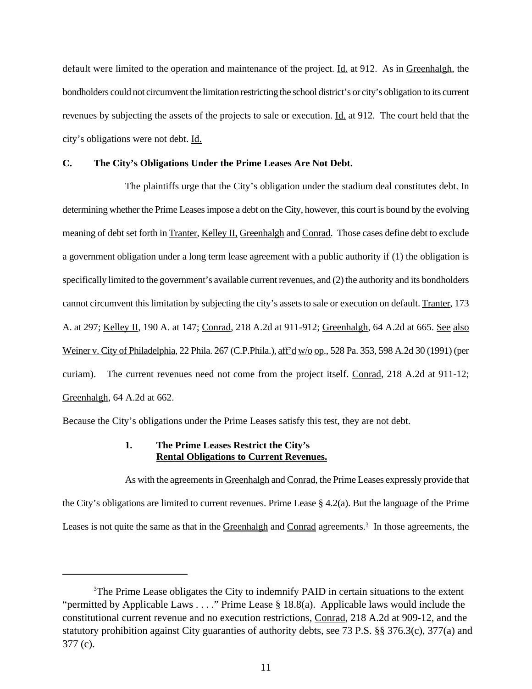default were limited to the operation and maintenance of the project. Id. at 912. As in Greenhalgh, the bondholders could not circumvent the limitation restricting the school district's or city's obligation to its current revenues by subjecting the assets of the projects to sale or execution. Id. at 912. The court held that the city's obligations were not debt. Id.

#### **C. The City's Obligations Under the Prime Leases Are Not Debt.**

The plaintiffs urge that the City's obligation under the stadium deal constitutes debt. In determining whether the Prime Leases impose a debt on the City, however, this court is bound by the evolving meaning of debt set forth in Tranter, Kelley II, Greenhalgh and Conrad. Those cases define debt to exclude a government obligation under a long term lease agreement with a public authority if (1) the obligation is specifically limited to the government's available current revenues, and (2) the authority and its bondholders cannot circumvent this limitation by subjecting the city's assets to sale or execution on default. Tranter, 173 A. at 297; Kelley II, 190 A. at 147; Conrad, 218 A.2d at 911-912; Greenhalgh, 64 A.2d at 665. See also Weiner v. City of Philadelphia, 22 Phila. 267 (C.P.Phila.), aff'd w/o op., 528 Pa. 353, 598 A.2d 30 (1991) (per curiam). The current revenues need not come from the project itself. Conrad, 218 A.2d at 911-12; Greenhalgh, 64 A.2d at 662.

Because the City's obligations under the Prime Leases satisfy this test, they are not debt.

# **1. The Prime Leases Restrict the City's Rental Obligations to Current Revenues.**

As with the agreements in Greenhalgh and Conrad, the Prime Leases expressly provide that the City's obligations are limited to current revenues. Prime Lease  $\S$  4.2(a). But the language of the Prime Leases is not quite the same as that in the Greenhalgh and Conrad agreements.<sup>3</sup> In those agreements, the

 ${}^{3}$ The Prime Lease obligates the City to indemnify PAID in certain situations to the extent "permitted by Applicable Laws . . . ." Prime Lease § 18.8(a). Applicable laws would include the constitutional current revenue and no execution restrictions, Conrad, 218 A.2d at 909-12, and the statutory prohibition against City guaranties of authority debts, <u>see</u> 73 P.S. §§ 376.3(c), 377(a) and 377 (c).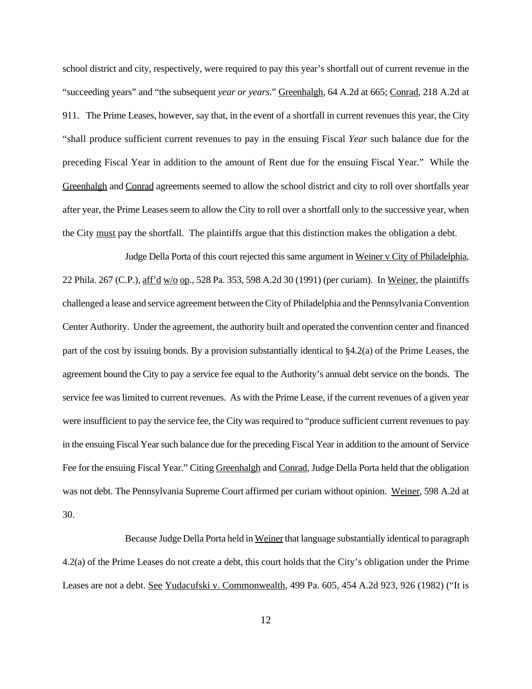school district and city, respectively, were required to pay this year's shortfall out of current revenue in the "succeeding years" and "the subsequent *year or years*." Greenhalgh, 64 A.2d at 665; Conrad, 218 A.2d at 911. The Prime Leases, however, say that, in the event of a shortfall in current revenues this year, the City "shall produce sufficient current revenues to pay in the ensuing Fiscal *Year* such balance due for the preceding Fiscal Year in addition to the amount of Rent due for the ensuing Fiscal Year." While the Greenhalgh and Conrad agreements seemed to allow the school district and city to roll over shortfalls year after year, the Prime Leases seem to allow the City to roll over a shortfall only to the successive year, when the City must pay the shortfall. The plaintiffs argue that this distinction makes the obligation a debt.

Judge Della Porta of this court rejected this same argument in Weiner v City of Philadelphia, 22 Phila. 267 (C.P.),  $\frac{\text{aff}}{\text{d}w/\text{d}}$  w/\o \omeg\_, 528 Pa. 353, 598 A.2d 30 (1991) (per curiam). In Weiner, the plaintiffs challenged a lease and service agreement between the City of Philadelphia and the Pennsylvania Convention Center Authority. Under the agreement, the authority built and operated the convention center and financed part of the cost by issuing bonds. By a provision substantially identical to §4.2(a) of the Prime Leases, the agreement bound the City to pay a service fee equal to the Authority's annual debt service on the bonds. The service fee was limited to current revenues. As with the Prime Lease, if the current revenues of a given year were insufficient to pay the service fee, the City was required to "produce sufficient current revenues to pay in the ensuing Fiscal Year such balance due for the preceding Fiscal Year in addition to the amount of Service Fee for the ensuing Fiscal Year." Citing Greenhalgh and Conrad, Judge Della Porta held that the obligation was not debt. The Pennsylvania Supreme Court affirmed per curiam without opinion. Weiner, 598 A.2d at 30.

Because Judge Della Porta held in Weiner that language substantially identical to paragraph 4.2(a) of the Prime Leases do not create a debt, this court holds that the City's obligation under the Prime Leases are not a debt. See Yudacufski v. Commonwealth, 499 Pa. 605, 454 A.2d 923, 926 (1982) ("It is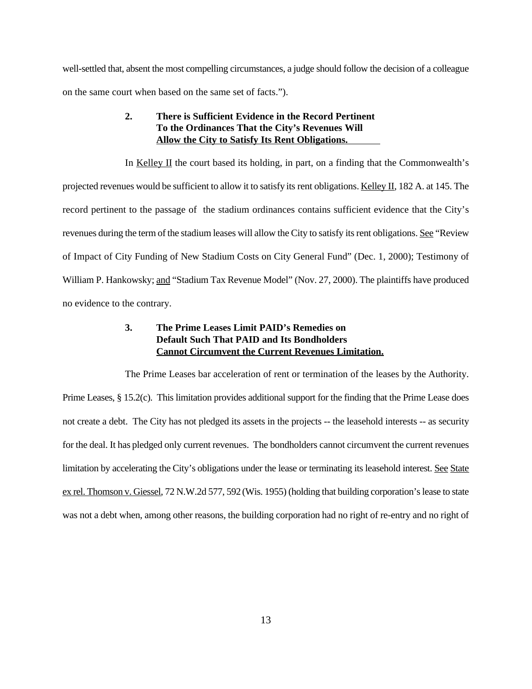well-settled that, absent the most compelling circumstances, a judge should follow the decision of a colleague on the same court when based on the same set of facts.").

# **2. There is Sufficient Evidence in the Record Pertinent To the Ordinances That the City's Revenues Will Allow the City to Satisfy Its Rent Obligations.**

In Kelley II the court based its holding, in part, on a finding that the Commonwealth's projected revenues would be sufficient to allow it to satisfy its rent obligations. Kelley II, 182 A. at 145. The record pertinent to the passage of the stadium ordinances contains sufficient evidence that the City's revenues during the term of the stadium leases will allow the City to satisfy its rent obligations. See "Review of Impact of City Funding of New Stadium Costs on City General Fund" (Dec. 1, 2000); Testimony of William P. Hankowsky; and "Stadium Tax Revenue Model" (Nov. 27, 2000). The plaintiffs have produced no evidence to the contrary.

# **3. The Prime Leases Limit PAID's Remedies on Default Such That PAID and Its Bondholders Cannot Circumvent the Current Revenues Limitation.**

The Prime Leases bar acceleration of rent or termination of the leases by the Authority. Prime Leases, § 15.2(c). This limitation provides additional support for the finding that the Prime Lease does not create a debt. The City has not pledged its assets in the projects -- the leasehold interests -- as security for the deal. It has pledged only current revenues. The bondholders cannot circumvent the current revenues limitation by accelerating the City's obligations under the lease or terminating its leasehold interest. See State ex rel. Thomson v. Giessel, 72 N.W.2d 577, 592 (Wis. 1955) (holding that building corporation's lease to state was not a debt when, among other reasons, the building corporation had no right of re-entry and no right of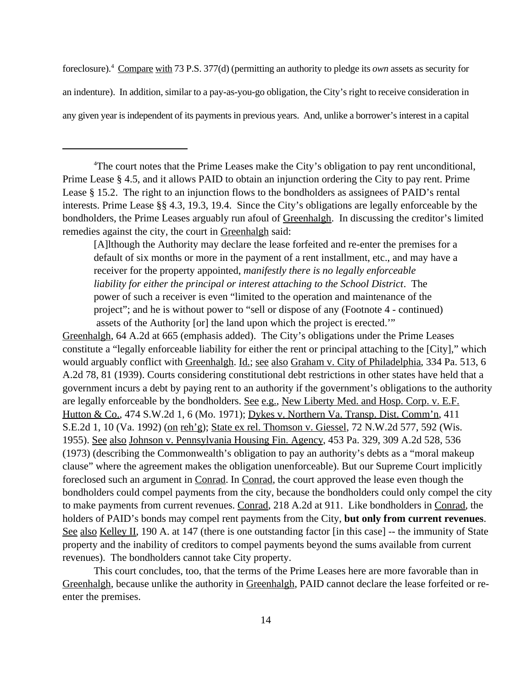foreclosure).<sup>4</sup> Compare with 73 P.S. 377(d) (permitting an authority to pledge its *own* assets as security for an indenture). In addition, similar to a pay-as-you-go obligation, the City's right to receive consideration in any given year is independent of its payments in previous years. And, unlike a borrower's interest in a capital

<sup>4</sup>The court notes that the Prime Leases make the City's obligation to pay rent unconditional, Prime Lease § 4.5, and it allows PAID to obtain an injunction ordering the City to pay rent. Prime Lease § 15.2. The right to an injunction flows to the bondholders as assignees of PAID's rental interests. Prime Lease §§ 4.3, 19.3, 19.4. Since the City's obligations are legally enforceable by the bondholders, the Prime Leases arguably run afoul of Greenhalgh. In discussing the creditor's limited remedies against the city, the court in Greenhalgh said:

[A]lthough the Authority may declare the lease forfeited and re-enter the premises for a default of six months or more in the payment of a rent installment, etc., and may have a receiver for the property appointed, *manifestly there is no legally enforceable liability for either the principal or interest attaching to the School District*. The power of such a receiver is even "limited to the operation and maintenance of the project"; and he is without power to "sell or dispose of any (Footnote 4 - continued) assets of the Authority [or] the land upon which the project is erected.'"

Greenhalgh, 64 A.2d at 665 (emphasis added). The City's obligations under the Prime Leases constitute a "legally enforceable liability for either the rent or principal attaching to the [City]," which would arguably conflict with Greenhalgh. Id.; see also Graham v. City of Philadelphia, 334 Pa. 513, 6 A.2d 78, 81 (1939). Courts considering constitutional debt restrictions in other states have held that a government incurs a debt by paying rent to an authority if the government's obligations to the authority are legally enforceable by the bondholders. See e.g., New Liberty Med. and Hosp. Corp. v. E.F. Hutton & Co., 474 S.W.2d 1, 6 (Mo. 1971); Dykes v. Northern Va. Transp. Dist. Comm'n, 411 S.E.2d 1, 10 (Va. 1992) (on reh'g); State ex rel. Thomson v. Giessel, 72 N.W.2d 577, 592 (Wis. 1955). See also Johnson v. Pennsylvania Housing Fin. Agency, 453 Pa. 329, 309 A.2d 528, 536 (1973) (describing the Commonwealth's obligation to pay an authority's debts as a "moral makeup clause" where the agreement makes the obligation unenforceable). But our Supreme Court implicitly foreclosed such an argument in Conrad. In Conrad, the court approved the lease even though the bondholders could compel payments from the city, because the bondholders could only compel the city to make payments from current revenues. Conrad, 218 A.2d at 911. Like bondholders in Conrad, the holders of PAID's bonds may compel rent payments from the City, **but only from current revenues**. See also Kelley II, 190 A. at 147 (there is one outstanding factor [in this case] -- the immunity of State property and the inability of creditors to compel payments beyond the sums available from current revenues). The bondholders cannot take City property.

This court concludes, too, that the terms of the Prime Leases here are more favorable than in Greenhalgh, because unlike the authority in Greenhalgh, PAID cannot declare the lease forfeited or reenter the premises.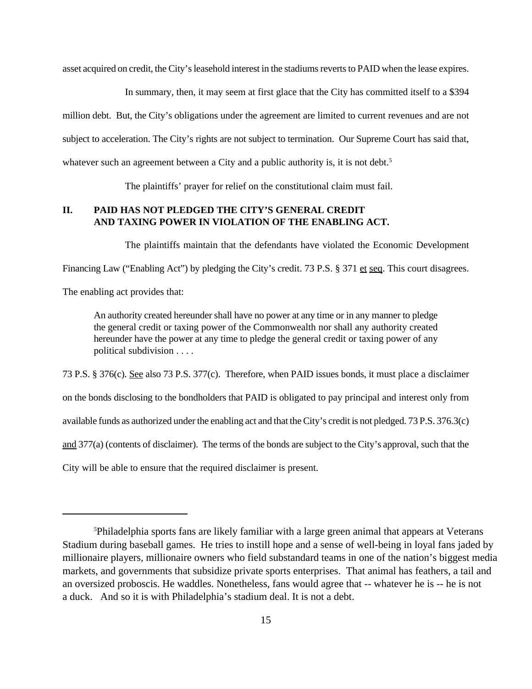asset acquired on credit, the City's leasehold interest in the stadiums reverts to PAID when the lease expires.

In summary, then, it may seem at first glace that the City has committed itself to a \$394 million debt. But, the City's obligations under the agreement are limited to current revenues and are not subject to acceleration. The City's rights are not subject to termination. Our Supreme Court has said that, whatever such an agreement between a City and a public authority is, it is not debt.<sup>5</sup>

The plaintiffs' prayer for relief on the constitutional claim must fail.

# **II. PAID HAS NOT PLEDGED THE CITY'S GENERAL CREDIT AND TAXING POWER IN VIOLATION OF THE ENABLING ACT.**

The plaintiffs maintain that the defendants have violated the Economic Development

Financing Law ("Enabling Act") by pledging the City's credit. 73 P.S. § 371 et seq. This court disagrees.

The enabling act provides that:

An authority created hereunder shall have no power at any time or in any manner to pledge the general credit or taxing power of the Commonwealth nor shall any authority created hereunder have the power at any time to pledge the general credit or taxing power of any political subdivision . . . .

73 P.S. § 376(c). See also 73 P.S. 377(c). Therefore, when PAID issues bonds, it must place a disclaimer on the bonds disclosing to the bondholders that PAID is obligated to pay principal and interest only from available funds as authorized under the enabling act and that the City's credit is not pledged. 73 P.S. 376.3(c) and 377(a) (contents of disclaimer). The terms of the bonds are subject to the City's approval, such that the City will be able to ensure that the required disclaimer is present.

<sup>&</sup>lt;sup>5</sup>Philadelphia sports fans are likely familiar with a large green animal that appears at Veterans Stadium during baseball games. He tries to instill hope and a sense of well-being in loyal fans jaded by millionaire players, millionaire owners who field substandard teams in one of the nation's biggest media markets, and governments that subsidize private sports enterprises. That animal has feathers, a tail and an oversized proboscis. He waddles. Nonetheless, fans would agree that -- whatever he is -- he is not a duck. And so it is with Philadelphia's stadium deal. It is not a debt.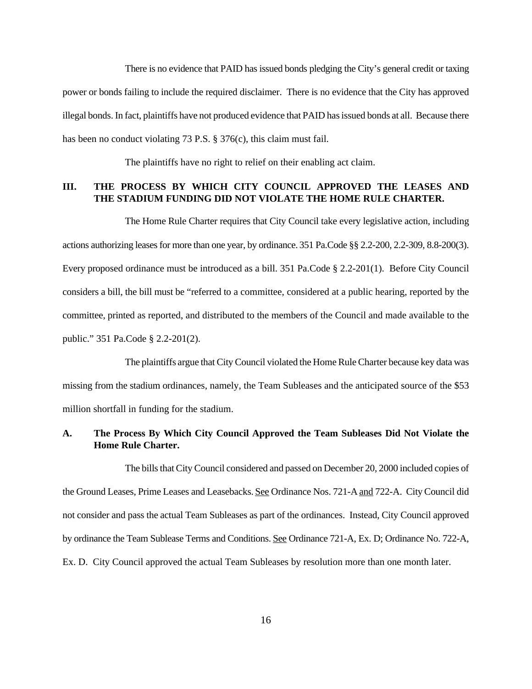There is no evidence that PAID has issued bonds pledging the City's general credit or taxing power or bonds failing to include the required disclaimer. There is no evidence that the City has approved illegal bonds. In fact, plaintiffs have not produced evidence that PAID has issued bonds at all. Because there has been no conduct violating 73 P.S. § 376(c), this claim must fail.

The plaintiffs have no right to relief on their enabling act claim.

# **III. THE PROCESS BY WHICH CITY COUNCIL APPROVED THE LEASES AND THE STADIUM FUNDING DID NOT VIOLATE THE HOME RULE CHARTER.**

The Home Rule Charter requires that City Council take every legislative action, including actions authorizing leases for more than one year, by ordinance. 351 Pa.Code §§ 2.2-200, 2.2-309, 8.8-200(3). Every proposed ordinance must be introduced as a bill. 351 Pa.Code § 2.2-201(1). Before City Council considers a bill, the bill must be "referred to a committee, considered at a public hearing, reported by the committee, printed as reported, and distributed to the members of the Council and made available to the public." 351 Pa.Code § 2.2-201(2).

The plaintiffs argue that City Council violated the Home Rule Charter because key data was missing from the stadium ordinances, namely, the Team Subleases and the anticipated source of the \$53 million shortfall in funding for the stadium.

# **A. The Process By Which City Council Approved the Team Subleases Did Not Violate the Home Rule Charter.**

The bills that City Council considered and passed on December 20, 2000 included copies of the Ground Leases, Prime Leases and Leasebacks. See Ordinance Nos. 721-A and 722-A. City Council did not consider and pass the actual Team Subleases as part of the ordinances. Instead, City Council approved by ordinance the Team Sublease Terms and Conditions. See Ordinance 721-A, Ex. D; Ordinance No. 722-A, Ex. D. City Council approved the actual Team Subleases by resolution more than one month later.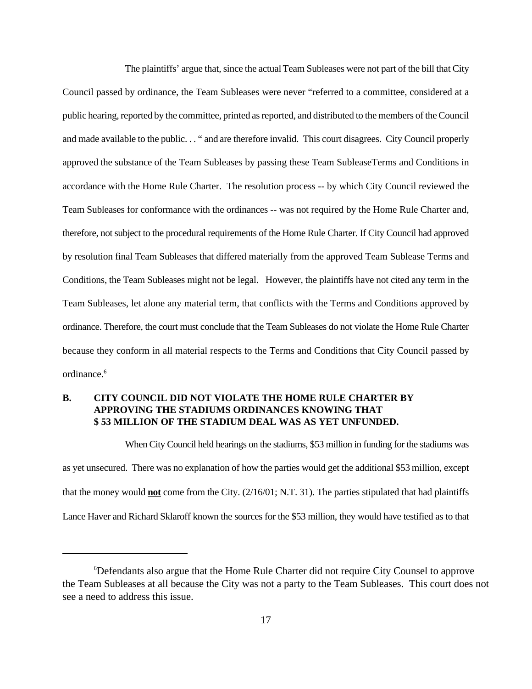The plaintiffs' argue that, since the actual Team Subleases were not part of the bill that City Council passed by ordinance, the Team Subleases were never "referred to a committee, considered at a public hearing, reported by the committee, printed as reported, and distributed to the members of the Council and made available to the public. . . " and are therefore invalid. This court disagrees. City Council properly approved the substance of the Team Subleases by passing these Team SubleaseTerms and Conditions in accordance with the Home Rule Charter. The resolution process -- by which City Council reviewed the Team Subleases for conformance with the ordinances -- was not required by the Home Rule Charter and, therefore, not subject to the procedural requirements of the Home Rule Charter. If City Council had approved by resolution final Team Subleases that differed materially from the approved Team Sublease Terms and Conditions, the Team Subleases might not be legal. However, the plaintiffs have not cited any term in the Team Subleases, let alone any material term, that conflicts with the Terms and Conditions approved by ordinance. Therefore, the court must conclude that the Team Subleases do not violate the Home Rule Charter because they conform in all material respects to the Terms and Conditions that City Council passed by ordinance.<sup>6</sup>

# **B. CITY COUNCIL DID NOT VIOLATE THE HOME RULE CHARTER BY APPROVING THE STADIUMS ORDINANCES KNOWING THAT \$ 53 MILLION OF THE STADIUM DEAL WAS AS YET UNFUNDED.**

When City Council held hearings on the stadiums, \$53 million in funding for the stadiums was as yet unsecured. There was no explanation of how the parties would get the additional \$53 million, except that the money would **not** come from the City. (2/16/01; N.T. 31). The parties stipulated that had plaintiffs Lance Haver and Richard Sklaroff known the sources for the \$53 million, they would have testified as to that

Defendants also argue that the Home Rule Charter did not require City Counsel to approve <sup>6</sup> the Team Subleases at all because the City was not a party to the Team Subleases. This court does not see a need to address this issue.